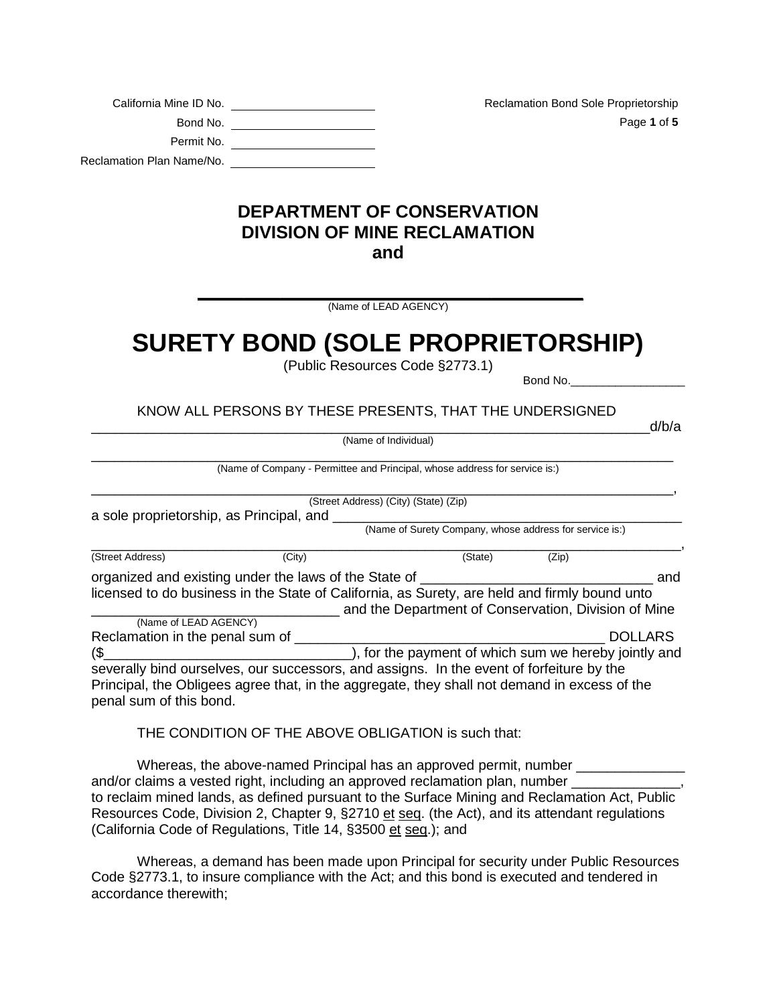| California Mine ID No.    |
|---------------------------|
| Bond No.                  |
| Permit No.                |
| Reclamation Plan Name/No. |

Reclamation Bond Sole Proprietorship Page **1** of **5** 

## **DEPARTMENT OF CONSERVATION DIVISION OF MINE RECLAMATION and**

**\_\_\_\_\_\_\_\_\_\_\_\_\_\_\_\_\_\_\_\_\_\_\_\_\_\_\_\_\_\_\_\_\_\_\_\_\_\_\_\_\_\_** (Name of LEAD AGENCY)

## **SURETY BOND (SOLE PROPRIETORSHIP)**

(Public Resources Code §2773.1)

Bond No.

KNOW ALL PERSONS BY THESE PRESENTS, THAT THE UNDERSIGNED

\_\_\_\_\_\_\_\_\_\_\_\_\_\_\_\_\_\_\_\_\_\_\_\_\_\_\_\_\_\_\_\_\_\_\_\_\_\_\_\_\_\_\_\_\_\_\_\_\_\_\_\_\_\_\_\_\_\_\_\_\_\_\_\_\_\_\_\_\_\_\_\_d/b/a (Name of Individual)

\_\_\_\_\_\_\_\_\_\_\_\_\_\_\_\_\_\_\_\_\_\_\_\_\_\_\_\_\_\_\_\_\_\_\_\_\_\_\_\_\_\_\_\_\_\_\_\_\_\_\_\_\_\_\_\_\_\_\_\_\_\_\_\_\_\_\_\_\_\_\_\_\_\_\_ (Name of Company - Permittee and Principal, whose address for service is:)

|                                          |                                                                                               | (Street Address) (City) (State) (Zip)                   |       |                |
|------------------------------------------|-----------------------------------------------------------------------------------------------|---------------------------------------------------------|-------|----------------|
| a sole proprietorship, as Principal, and |                                                                                               |                                                         |       |                |
|                                          |                                                                                               | (Name of Surety Company, whose address for service is:) |       |                |
| (Street Address)                         | (City)                                                                                        | (State)                                                 | (Zip) |                |
|                                          | organized and existing under the laws of the State of                                         |                                                         |       | and            |
|                                          | licensed to do business in the State of California, as Surety, are held and firmly bound unto |                                                         |       |                |
|                                          |                                                                                               | and the Department of Conservation, Division of Mine    |       |                |
| (Name of LEAD AGENCY)                    |                                                                                               |                                                         |       |                |
| Reclamation in the penal sum of          |                                                                                               |                                                         |       | <b>DOLLARS</b> |
| (\$                                      |                                                                                               | ), for the payment of which sum we hereby jointly and   |       |                |
|                                          | severally bind ourselves, our successors, and assigns. In the event of forfeiture by the      |                                                         |       |                |
|                                          | Principal, the Obligees agree that, in the aggregate, they shall not demand in excess of the  |                                                         |       |                |
| penal sum of this bond.                  |                                                                                               |                                                         |       |                |

THE CONDITION OF THE ABOVE OBLIGATION is such that:

Whereas, the above-named Principal has an approved permit, number and/or claims a vested right, including an approved reclamation plan, number \_\_\_\_\_\_\_\_\_\_ to reclaim mined lands, as defined pursuant to the Surface Mining and Reclamation Act, Public Resources Code, Division 2, Chapter 9, §2710 et seq. (the Act), and its attendant regulations (California Code of Regulations, Title 14, §3500 et seq.); and

Whereas, a demand has been made upon Principal for security under Public Resources Code §2773.1, to insure compliance with the Act; and this bond is executed and tendered in accordance therewith;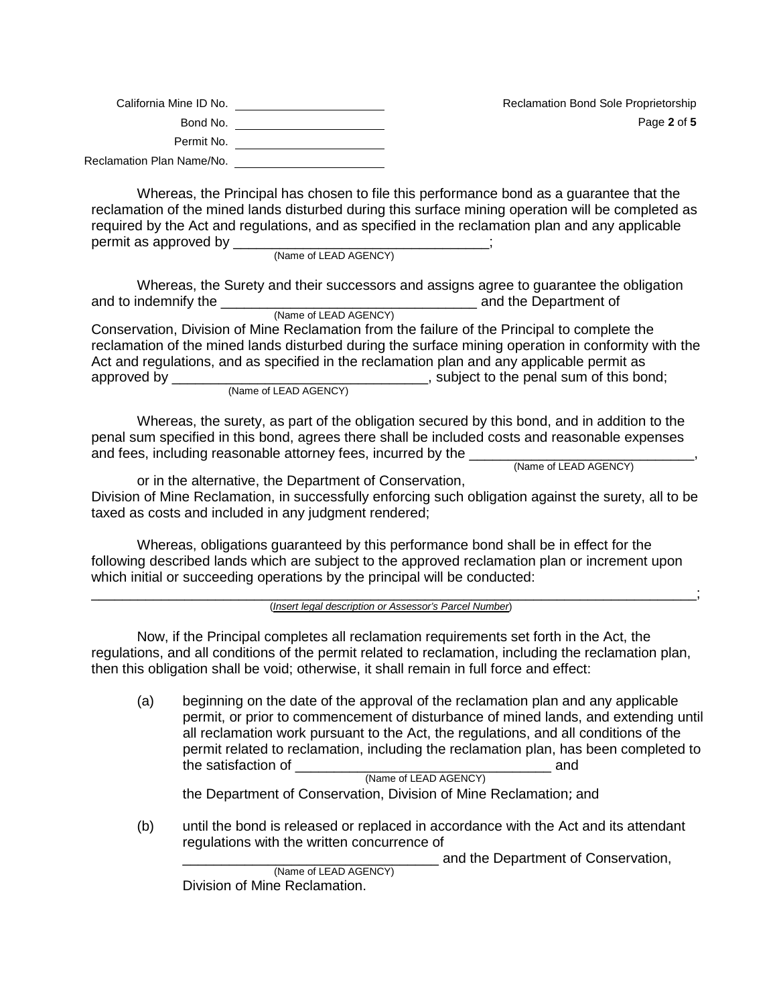| California Mine ID No.    | <b>Reclamation Bond Sole Proprietorship</b> |
|---------------------------|---------------------------------------------|
| Bond No.                  | Page 2 of 5                                 |
| Permit No.                |                                             |
| Reclamation Plan Name/No. |                                             |

Whereas, the Principal has chosen to file this performance bond as a guarantee that the reclamation of the mined lands disturbed during this surface mining operation will be completed as required by the Act and regulations, and as specified in the reclamation plan and any applicable permit as approved by \_\_\_\_\_\_\_\_\_\_\_\_\_\_\_\_\_\_\_\_\_\_\_\_\_\_\_\_\_\_\_\_\_;

(Name of LEAD AGENCY)

Whereas, the Surety and their successors and assigns agree to guarantee the obligation and to indemnify the \_\_\_\_\_\_\_\_\_\_\_\_\_\_\_\_\_\_\_\_\_\_\_\_\_\_\_\_\_\_\_\_\_ and the Department of (Name of LEAD AGENCY)

Conservation, Division of Mine Reclamation from the failure of the Principal to complete the reclamation of the mined lands disturbed during the surface mining operation in conformity with the Act and regulations, and as specified in the reclamation plan and any applicable permit as approved by approved by  $\Box$ , subject to the penal sum of this bond; (Name of LEAD AGENCY)

Whereas, the surety, as part of the obligation secured by this bond, and in addition to the penal sum specified in this bond, agrees there shall be included costs and reasonable expenses and fees, including reasonable attorney fees, incurred by the \_\_\_\_\_\_\_\_\_\_\_\_\_\_\_\_\_\_\_\_\_\_\_\_\_\_\_\_\_, (Name of LEAD AGENCY)

or in the alternative, the Department of Conservation, Division of Mine Reclamation, in successfully enforcing such obligation against the surety, all to be taxed as costs and included in any judgment rendered;

Whereas, obligations guaranteed by this performance bond shall be in effect for the following described lands which are subject to the approved reclamation plan or increment upon which initial or succeeding operations by the principal will be conducted:

\_\_\_\_\_\_\_\_\_\_\_\_\_\_\_\_\_\_\_\_\_\_\_\_\_\_\_\_\_\_\_\_\_\_\_\_\_\_\_\_\_\_\_\_\_\_\_\_\_\_\_\_\_\_\_\_\_\_\_\_\_\_\_\_\_\_\_\_\_\_\_\_\_\_\_\_\_\_; (*Insert legal description or Assessor's Parcel Number*)

Now, if the Principal completes all reclamation requirements set forth in the Act, the regulations, and all conditions of the permit related to reclamation, including the reclamation plan, then this obligation shall be void; otherwise, it shall remain in full force and effect:

(a) beginning on the date of the approval of the reclamation plan and any applicable permit, or prior to commencement of disturbance of mined lands, and extending until all reclamation work pursuant to the Act, the regulations, and all conditions of the permit related to reclamation, including the reclamation plan, has been completed to the satisfaction of **EXECUTE:** and the satisfaction of (Name of LEAD AGENCY)

the Department of Conservation, Division of Mine Reclamation; and

(b) until the bond is released or replaced in accordance with the Act and its attendant regulations with the written concurrence of

\_\_\_\_\_\_\_\_\_\_\_\_\_\_\_\_\_\_\_\_\_\_\_\_\_\_\_\_\_\_\_\_\_ and the Department of Conservation, (Name of LEAD AGENCY) Division of Mine Reclamation.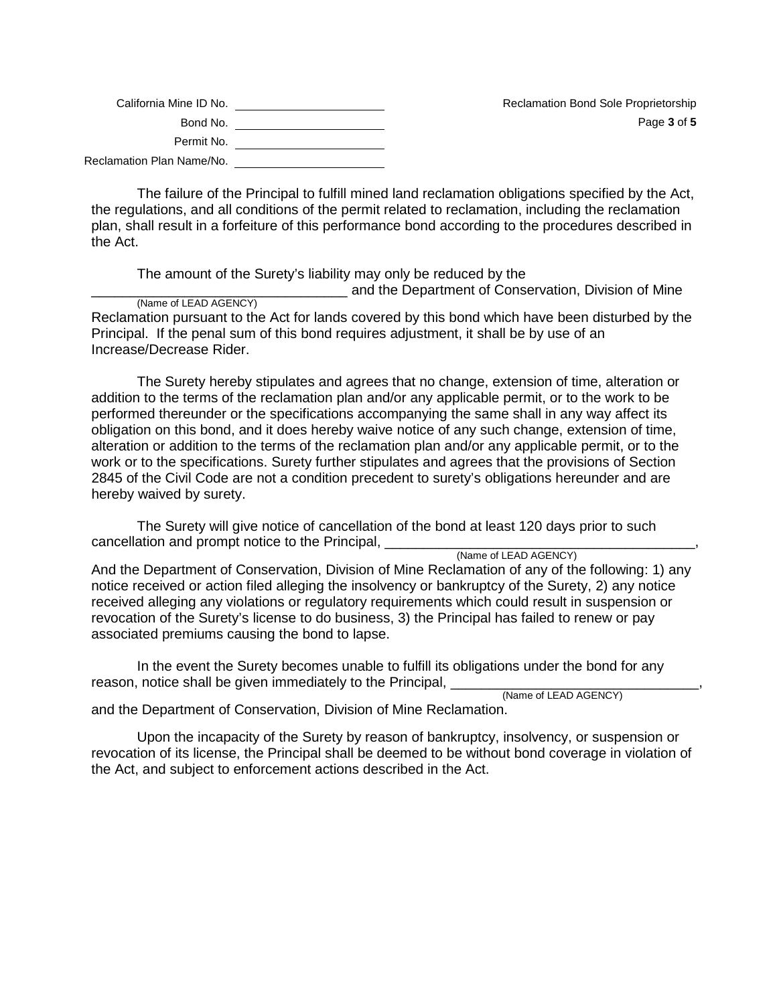| California Mine ID No.    | <b>Reclamation Bond Sole Proprietorship</b> |
|---------------------------|---------------------------------------------|
| Bond No.                  | Page 3 of 5                                 |
| Permit No.                |                                             |
| Reclamation Plan Name/No. |                                             |

The failure of the Principal to fulfill mined land reclamation obligations specified by the Act, the regulations, and all conditions of the permit related to reclamation, including the reclamation plan, shall result in a forfeiture of this performance bond according to the procedures described in the Act.

The amount of the Surety's liability may only be reduced by the

and the Department of Conservation, Division of Mine (Name of LEAD AGENCY)

Reclamation pursuant to the Act for lands covered by this bond which have been disturbed by the Principal. If the penal sum of this bond requires adjustment, it shall be by use of an Increase/Decrease Rider.

The Surety hereby stipulates and agrees that no change, extension of time, alteration or addition to the terms of the reclamation plan and/or any applicable permit, or to the work to be performed thereunder or the specifications accompanying the same shall in any way affect its obligation on this bond, and it does hereby waive notice of any such change, extension of time, alteration or addition to the terms of the reclamation plan and/or any applicable permit, or to the work or to the specifications. Surety further stipulates and agrees that the provisions of Section 2845 of the Civil Code are not a condition precedent to surety's obligations hereunder and are hereby waived by surety.

The Surety will give notice of cancellation of the bond at least 120 days prior to such cancellation and prompt notice to the Principal, \_\_\_\_\_\_\_\_\_\_\_\_\_\_\_\_\_\_\_\_\_\_\_\_\_\_\_\_\_\_\_\_<br>(Name of LEAD AGENCY)

And the Department of Conservation, Division of Mine Reclamation of any of the following: 1) any notice received or action filed alleging the insolvency or bankruptcy of the Surety, 2) any notice received alleging any violations or regulatory requirements which could result in suspension or revocation of the Surety's license to do business, 3) the Principal has failed to renew or pay associated premiums causing the bond to lapse.

In the event the Surety becomes unable to fulfill its obligations under the bond for any reason, notice shall be given immediately to the Principal, \_\_\_\_\_\_\_\_\_\_\_\_\_\_\_\_\_\_\_\_\_

and the Department of Conservation, Division of Mine Reclamation.

Upon the incapacity of the Surety by reason of bankruptcy, insolvency, or suspension or revocation of its license, the Principal shall be deemed to be without bond coverage in violation of the Act, and subject to enforcement actions described in the Act.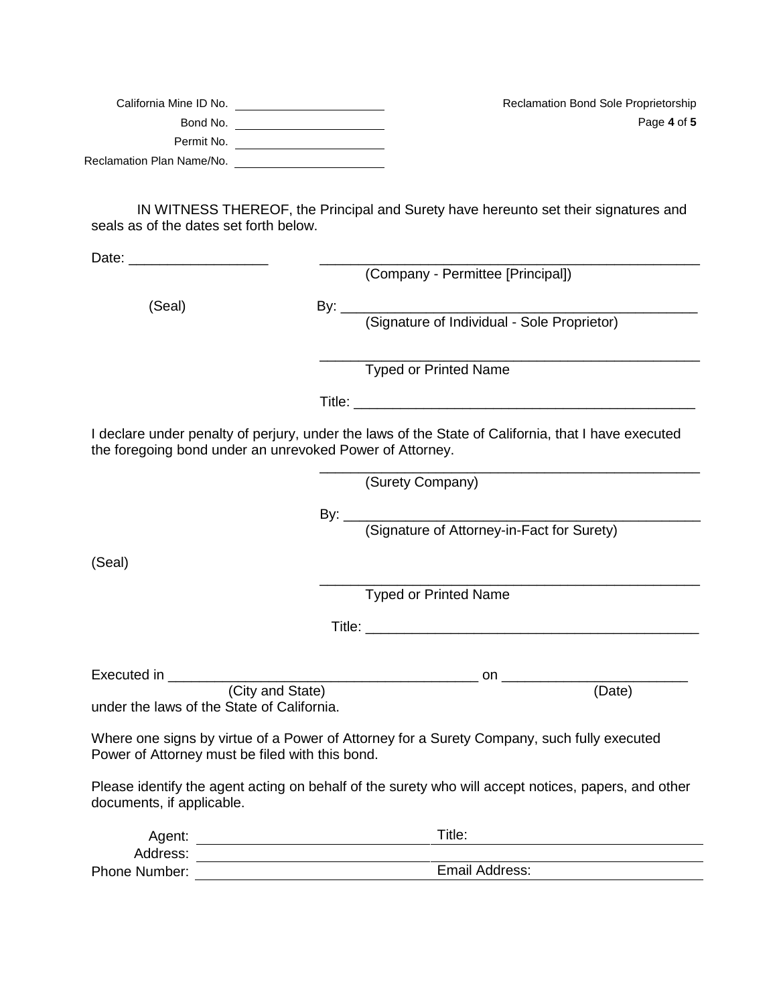| California Mine ID No.    | <b>Reclamation Bond Sole Proprietorship</b> |
|---------------------------|---------------------------------------------|
| Bond No.                  | Page 4 of 5                                 |
| Permit No.                |                                             |
| Reclamation Plan Name/No. |                                             |

IN WITNESS THEREOF, the Principal and Surety have hereunto set their signatures and seals as of the dates set forth below.

Date: \_\_\_\_\_\_\_\_\_\_\_\_\_\_\_\_\_\_ \_\_\_\_\_\_\_\_\_\_\_\_\_\_\_\_\_\_\_\_\_\_\_\_\_\_\_\_\_\_\_\_\_\_\_\_\_\_\_\_\_\_\_\_\_\_\_\_\_

(Company - Permittee [Principal]) (Seal) By: 2000 By: 2000 By: 2000 By: 2000 By: 2000 By: 2000 By: 2000 By: 2000 By: 2000 By: 2000 By: 2000 By: 2000 By: 2000 By: 2000 By: 2000 By: 2000 By: 2000 By: 2000 By: 2000 By: 2000 By: 2000 By: 2000 By: 2000 By: 2000 (Signature of Individual - Sole Proprietor) \_\_\_\_\_\_\_\_\_\_\_\_\_\_\_\_\_\_\_\_\_\_\_\_\_\_\_\_\_\_\_\_\_\_\_\_\_\_\_\_\_\_\_\_\_\_\_\_\_ Typed or Printed Name

Title:

I declare under penalty of perjury, under the laws of the State of California, that I have executed the foregoing bond under an unrevoked Power of Attorney.

(Surety Company)

\_\_\_\_\_\_\_\_\_\_\_\_\_\_\_\_\_\_\_\_\_\_\_\_\_\_\_\_\_\_\_\_\_\_\_\_\_\_\_\_\_\_\_\_\_\_\_\_\_

(Signature of Attorney-in-Fact for Surety)

By: \_\_\_\_\_\_\_\_\_\_\_\_\_\_\_\_\_\_\_\_\_\_\_\_\_\_\_\_\_\_\_\_\_\_\_\_\_\_\_\_\_\_\_\_\_\_

(Seal)

\_\_\_\_\_\_\_\_\_\_\_\_\_\_\_\_\_\_\_\_\_\_\_\_\_\_\_\_\_\_\_\_\_\_\_\_\_\_\_\_\_\_\_\_\_\_\_\_\_ Typed or Printed Name

Title: \_\_\_\_\_\_\_\_\_\_\_\_\_\_\_\_\_\_\_\_\_\_\_\_\_\_\_\_\_\_\_\_\_\_\_\_\_\_\_\_\_\_\_

Executed in \_\_\_\_\_\_\_\_\_\_\_\_\_\_\_\_\_\_\_\_\_\_\_\_\_\_\_\_\_\_\_\_\_\_\_\_\_\_\_\_ on \_\_\_\_\_\_\_\_\_\_\_\_\_\_\_\_\_\_\_\_\_\_\_\_ (City and State) (Date) under the laws of the State of California.

Where one signs by virtue of a Power of Attorney for a Surety Company, such fully executed Power of Attorney must be filed with this bond.

Please identify the agent acting on behalf of the surety who will accept notices, papers, and other documents, if applicable.

| Agent:               | Title:         |
|----------------------|----------------|
| Address:             |                |
| <b>Phone Number:</b> | Email Address: |